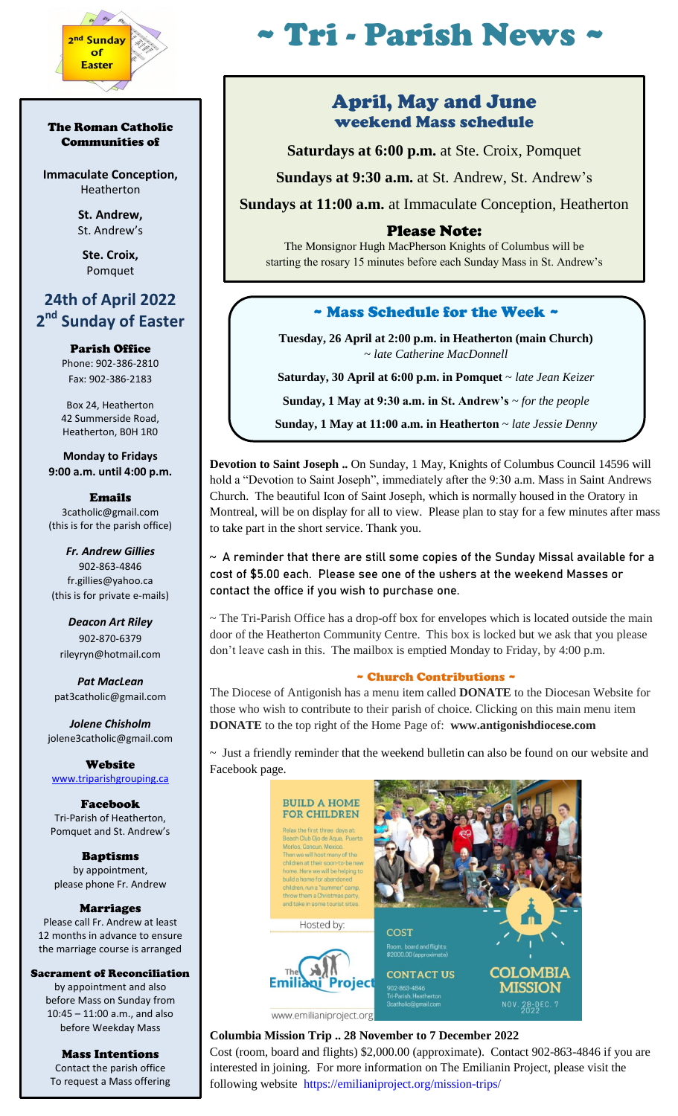

#### The Roman Catholic Communities of

**Immaculate Conception,** Heatherton

> **St. Andrew,**  St. Andrew's

**Ste. Croix,** Pomquet

# **24th of April 2022 2 nd Sunday of Easter**

Parish Office Phone: 902-386-2810 Fax: 902-386-2183

Box 24, Heatherton 42 Summerside Road, Heatherton, B0H 1R0

**Monday to Fridays 9:00 a.m. until 4:00 p.m.**

Emails 3catholic@gmail.com (this is for the parish office)

*Fr. Andrew Gillies* 902-863-4846 fr.gillies@yahoo.ca (this is for private e-mails)

*Deacon Art Riley* 902-870-6379 rileyryn@hotmail.com

*Pat MacLean* pat3catholic@gmail.com

*Jolene Chisholm* jolene3catholic@gmail.com

**Website** [www.triparishgrouping.ca](http://www.triparishgrouping.ca/)

Facebook Tri-Parish of Heatherton, Pomquet and St. Andrew's

Baptisms by appointment, please phone Fr. Andrew

Marriages Please call Fr. Andrew at least 12 months in advance to ensure the marriage course is arranged

Sacrament of Reconciliation by appointment and also before Mass on Sunday from 10:45 – 11:00 a.m., and also before Weekday Mass

> Mass Intentions Contact the parish office To request a Mass offering

# $T$ ri - Parish News

# April, May and June weekend Mass schedule

**Saturdays at 6:00 p.m.** at Ste. Croix, Pomquet

**Sundays at 9:30 a.m.** at St. Andrew, St. Andrew's

**Sundays at 11:00 a.m.** at Immaculate Conception, Heatherton

## Please Note:

The Monsignor Hugh MacPherson Knights of Columbus will be starting the rosary 15 minutes before each Sunday Mass in St. Andrew's

# ~ Mass Schedule for the Week ~

**Tuesday, 26 April at 2:00 p.m. in Heatherton (main Church)** ~ *late Catherine MacDonnell*

**Saturday, 30 April at 6:00 p.m. in Pomquet** ~ *late Jean Keizer*

**Sunday, 1 May at 9:30 a.m. in St. Andrew's** *~ for the people*

**Sunday, 1 May at 11:00 a.m. in Heatherton** *~ late Jessie Denny*

**Devotion to Saint Joseph ..** On Sunday, 1 May, Knights of Columbus Council 14596 will hold a "Devotion to Saint Joseph", immediately after the 9:30 a.m. Mass in Saint Andrews Church. The beautiful Icon of Saint Joseph, which is normally housed in the Oratory in Montreal, will be on display for all to view. Please plan to stay for a few minutes after mass to take part in the short service. Thank you.

## **~ A reminder that there are still some copies of the Sunday Missal available for a cost of \$5.00 each. Please see one of the ushers at the weekend Masses or contact the office if you wish to purchase one.**

~ The Tri-Parish Office has a drop-off box for envelopes which is located outside the main door of the Heatherton Community Centre. This box is locked but we ask that you please don't leave cash in this. The mailbox is emptied Monday to Friday, by 4:00 p.m.

#### ~ Church Contributions ~

The Diocese of Antigonish has a menu item called **DONATE** to the Diocesan Website for those who wish to contribute to their parish of choice. Clicking on this main menu item **DONATE** to the top right of the Home Page of: **www.antigonishdiocese.com** 

~ Just a friendly reminder that the weekend bulletin can also be found on our website and Facebook page.



# **Columbia Mission Trip .. 28 November to 7 December 2022**

Cost (room, board and flights) \$2,000.00 (approximate). Contact 902-863-4846 if you are interested in joining. For more information on The Emilianin Project, please visit the following website [https://emilianiproject.org/mission-trips/](https://emilianiproject.org/mission-trips/?fbclid=IwAR3sr11_bt0kdf1ovxGQHp_Vfu451xk6DiIHfCUKjf9FO0dz8pFZcfjnXSo)